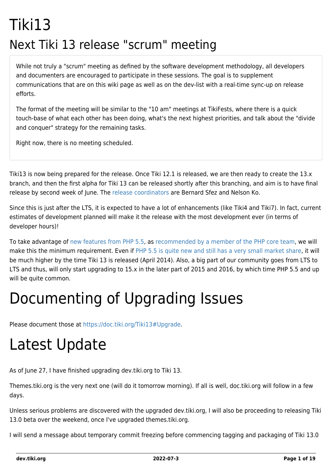### Tiki13 Next Tiki 13 release "scrum" meeting

While not truly a "scrum" meeting as defined by the software development methodology, all developers and documenters are encouraged to participate in these sessions. The goal is to supplement communications that are on this wiki page as well as on the dev-list with a real-time sync-up on release efforts.

The format of the meeting will be similar to the "10 am" meetings at TikiFests, where there is a quick touch-base of what each other has been doing, what's the next highest priorities, and talk about the "divide and conquer" strategy for the remaining tasks.

Right now, there is no meeting scheduled.

Tiki13 is now being prepared for the release. Once Tiki 12.1 is released, we are then ready to create the 13.x branch, and then the first alpha for Tiki 13 can be released shortly after this branching, and aim is to have final release by second week of June. The [release coordinators](http://tiki.org/release%20coordinators) are Bernard Sfez and Nelson Ko.

Since this is just after the LTS, it is expected to have a lot of enhancements (like Tiki4 and Tiki7). In fact, current estimates of development planned will make it the release with the most development ever (in terms of developer hours)!

To take advantage of [new features from PHP 5.5](http://php.net/manual/en/migration55.new-features.php), as [recommended by a member of the PHP core team,](http://schlueters.de/blog/archives/173-PHP-5.5-is-out,-whats-up-with-5.4-and-5.3.html) we will make this the minimum requirement. Even if [PHP 5.5 is quite new and still has a very small market share,](http://w3techs.com/technologies/details/pl-php/5/all) it will be much higher by the time Tiki 13 is released (April 2014). Also, a big part of our community goes from LTS to LTS and thus, will only start upgrading to 15.x in the later part of 2015 and 2016, by which time PHP 5.5 and up will be quite common.

# Documenting of Upgrading Issues

Please document those at [https://doc.tiki.org/Tiki13#Upgrade.](https://doc.tiki.org/Tiki13#Upgrade)

# Latest Update

As of June 27, I have finished upgrading dev.tiki.org to Tiki 13.

Themes.tiki.org is the very next one (will do it tomorrow morning). If all is well, doc.tiki.org will follow in a few days.

Unless serious problems are discovered with the upgraded dev.tiki.org, I will also be proceeding to releasing Tiki 13.0 beta over the weekend, once I've upgraded themes.tiki.org.

I will send a message about temporary commit freezing before commencing tagging and packaging of Tiki 13.0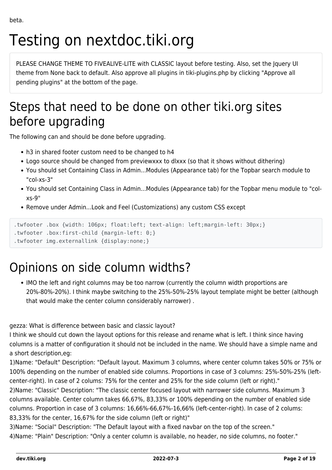# Testing on nextdoc.tiki.org

PLEASE CHANGE THEME TO FIVEALIVE-LITE with CLASSIC layout before testing. Also, set the Jquery UI theme from None back to default. Also approve all plugins in tiki-plugins.php by clicking "Approve all pending plugins" at the bottom of the page.

### Steps that need to be done on other tiki.org sites before upgrading

The following can and should be done before upgrading.

- h3 in shared footer custom need to be changed to h4
- Logo source should be changed from previewxxx to dlxxx (so that it shows without dithering)
- You should set Containing Class in Admin...Modules (Appearance tab) for the Topbar search module to "col-xs-3"
- You should set Containing Class in Admin...Modules (Appearance tab) for the Topbar menu module to "colxs-9"
- Remove under Admin...Look and Feel (Customizations) any custom CSS except

```
.twfooter .box {width: 106px; float:left; text-align: left;margin-left: 30px;}
```

```
.twfooter .box:first-child {margin-left: 0;}
```

```
.twfooter img.externallink {display:none;}
```
### Opinions on side column widths?

IMO the left and right columns may be too narrow (currently the column width proportions are 20%-80%-20%). I think maybe switching to the 25%-50%-25% layout template might be better (although that would make the center column considerably narrower) .

gezza: What is difference between basic and classic layout?

I think we should cut down the layout options for this release and rename what is left. I think since having columns is a matter of configuration it should not be included in the name. We should have a simple name and a short description,eg:

1)Name: "Default" Description: "Default layout. Maximum 3 columns, where center column takes 50% or 75% or 100% depending on the number of enabled side columns. Proportions in case of 3 columns: 25%-50%-25% (leftcenter-right). In case of 2 colums: 75% for the center and 25% for the side column (left or right)."

2)Name: "Classic" Description: "The classic center focused layout with narrower side columns. Maximum 3 columns available. Center column takes 66,67%, 83,33% or 100% depending on the number of enabled side columns. Proportion in case of 3 columns: 16,66%-66,67%-16,66% (left-center-right). In case of 2 colums: 83,33% for the center, 16,67% for the side column (left or right)"

3)Name: "Social" Description: "The Default layout with a fixed navbar on the top of the screen." 4)Name: "Plain" Description: "Only a center column is available, no header, no side columns, no footer."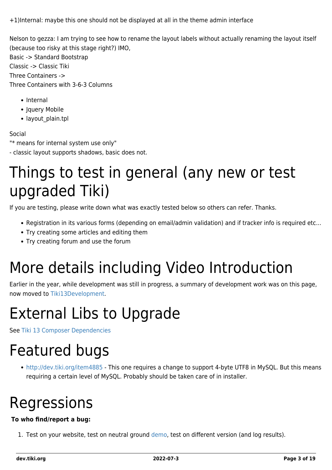+1)Internal: maybe this one should not be displayed at all in the theme admin interface

Nelson to gezza: I am trying to see how to rename the layout labels without actually renaming the layout itself (because too risky at this stage right?) IMO,

Basic -> Standard Bootstrap Classic -> Classic Tiki Three Containers -> Three Containers with 3-6-3 Columns

- Internal
- Jquery Mobile
- layout plain.tpl

#### Social

"\* means for internal system use only"

- classic layout supports shadows, basic does not.

### Things to test in general (any new or test upgraded Tiki)

If you are testing, please write down what was exactly tested below so others can refer. Thanks.

- Registration in its various forms (depending on email/admin validation) and if tracker info is required etc...
- Try creating some articles and editing them
- Try creating forum and use the forum

# More details including Video Introduction

Earlier in the year, while development was still in progress, a summary of development work was on this page, now moved to [Tiki13Development](https://dev.tiki.org/tiki13Development).

# External Libs to Upgrade

See [Tiki 13 Composer Dependencies](https://dev.tiki.org/Tiki-13-Composer-Dependencies)

### Featured bugs

<http://dev.tiki.org/item4885> - This one requires a change to support 4-byte UTF8 in MySQL. But this means requiring a certain level of MySQL. Probably should be taken care of in installer.

# Regressions

#### **To who find/report a bug:**

1. Test on your website, test on neutral ground [demo,](http://demo.tiki.org) test on different version (and log results).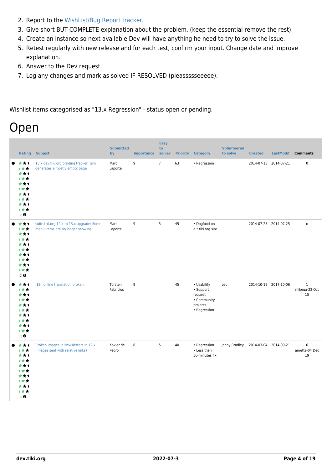- 2. Report to the [WishList/Bug Report tracker.](https://dev.tiki.org/Make+a+wish)
- 3. Give short BUT COMPLETE explanation about the problem. (keep the essential remove the rest).
- 4. Create an instance so next available Dev will have anything he need to try to solve the issue.
- 5. Retest regularly with new release and for each test, confirm your input. Change date and improve explanation.
- 6. Answer to the Dev request.
- 7. Log any changes and mark as solved IF RESOLVED (pleassssseeeee).

Wishlist items categorised as "13.x Regression" - status open or pending.

### Open

| <b>Rating</b>                                                                              | <b>Subject</b>                                                                | <b>Submitted</b><br>by | <b>Importance</b> | <b>Easy</b><br>to<br>solve? | <b>Priority</b> | <b>Category</b>                                                                | <b>Volunteered</b><br>to solve | <b>Created</b> |                       | LastModif Comments                      |
|--------------------------------------------------------------------------------------------|-------------------------------------------------------------------------------|------------------------|-------------------|-----------------------------|-----------------|--------------------------------------------------------------------------------|--------------------------------|----------------|-----------------------|-----------------------------------------|
| ***<br>***<br>***<br>***<br>***<br>计女女<br>***<br>计女女<br>***<br>计女女<br>$(0)$ $\odot$        | 13.x dev.tiki.org printing tracker item<br>generates a mostly empty page      | Marc<br>Laporte        | 9                 | $\overline{7}$              | 63              | • Regression                                                                   |                                |                | 2014-07-13 2014-07-21 | $\pmb{0}$                               |
| ***<br>1★★<br>***<br>***<br>***<br>计女女<br>***<br>***<br>***<br>计女女<br>$(0)$ $\odot$        | suite.tiki.org 12.x to 13.x upgrade: Some<br>menu items are no longer showing | Marc<br>Laporte        | 9                 | 5                           | 45              | • Dogfood on<br>a *.tiki.org site                                              |                                |                | 2014-07-25 2014-07-25 | $\mathsf 0$                             |
| ***<br>1★★<br>***<br>***<br>***<br>1 * *<br>***<br>计女女<br>***<br>计女女<br>(0) $\pmb{\Theta}$ | i18n online translation broken                                                | Torsten<br>Fabricius   | 9                 |                             | 45              | • Usability<br>· Support<br>request<br>• Community<br>projects<br>• Regression | Leu                            |                | 2014-10-19 2017-10-06 | $\,1\,$<br>mikeua-22 Oct<br>15          |
| ***<br>1★★<br>***<br>***<br>***<br>1★★<br>***<br>计女女<br>***<br>计女女<br>(3)                  | Broken images in Newsletters in 12.x<br>(images sent with relative links)     | Xavier de<br>Pedro     | 8                 | 5                           | 40              | • Regression<br>• Less than<br>30-minutes fix                                  | Jonny Bradley                  |                | 2014-03-04 2014-09-21 | $\boldsymbol{6}$<br>amette-04 Dec<br>19 |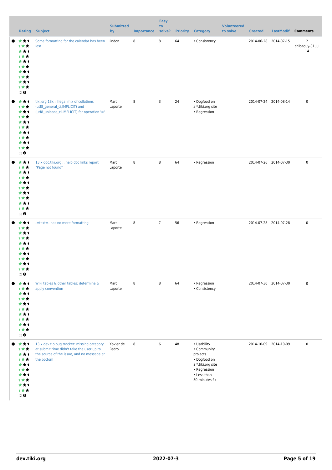| <b>Rating</b>                                                                                         | <b>Subject</b>                                                                                                                                      | <b>Submitted</b><br>by | <b>Importance</b> | <b>Easy</b><br>to<br>solve? |    | <b>Priority Category</b>                                                                                                     | <b>Volunteered</b><br>to solve | <b>Created</b>        | LastModif Comments |                                         |
|-------------------------------------------------------------------------------------------------------|-----------------------------------------------------------------------------------------------------------------------------------------------------|------------------------|-------------------|-----------------------------|----|------------------------------------------------------------------------------------------------------------------------------|--------------------------------|-----------------------|--------------------|-----------------------------------------|
| *1<br>*<br>计女女<br>* * 1<br>计女女<br>***<br>计女女<br>***<br>计女女<br>***<br>计女女<br>$(0)$ $\odot$             | Some formatting for the calendar has been<br>lost                                                                                                   | lindon                 | 8                 | 8                           | 64 | • Consistency                                                                                                                |                                | 2014-06-28            | 2014-07-15         | $\overline{2}$<br>chibaguy-01 Jul<br>14 |
| ***<br>计女女<br>***<br>计女女<br>***<br>计女女<br>***<br>计女女<br>***<br>计女女<br>$(0)$ $\odot$                   | tiki.org 13x : Illegal mix of collations<br>(utf8_general_ci,IMPLICIT) and<br>(utf8 unicode ci, IMPLICIT) for operation '='                         | Marc<br>Laporte        | 8                 | 3                           | 24 | • Dogfood on<br>a *.tiki.org site<br>• Regression                                                                            |                                | 2014-07-24 2014-08-14 |                    | $\mathbf 0$                             |
| ***<br>计女女<br>***<br>1**<br>***<br>1**<br>***<br>1**<br>***<br>计女女<br>$(0)$ $\odot$                   | 13.x doc.tiki.org :: help doc links report<br>"Page not found"                                                                                      | Marc<br>Laporte        | 8                 | 8                           | 64 | • Regression                                                                                                                 |                                | 2014-07-26 2014-07-30 |                    | $\mathsf{O}\xspace$                     |
| ***<br>1**<br>***<br>1 * *<br>* * 1<br>1 <del>*</del> *<br>★↑<br>1 * *<br>***<br>计女女<br>$(0)$ $\odot$ | -=text=- has no more formatting                                                                                                                     | Marc<br>Laporte        | 8                 | $\overline{7}$              | 56 | • Regression                                                                                                                 |                                | 2014-07-28 2014-07-28 |                    | $\mathsf{O}\xspace$                     |
| ***<br>计女女<br>***<br>计女女<br>***<br>1★★<br>***<br>计女女<br>***<br>计女女<br>$(0)$ $\odot$                   | Wiki tables & other tables: determine &<br>apply convention                                                                                         | Marc<br>Laporte        | 8                 | 8                           | 64 | • Regression<br>• Consistency                                                                                                |                                | 2014-07-30 2014-07-30 |                    | $\mathsf 0$                             |
| ***<br>计女女<br>***<br>1★★<br>***<br>计女女<br>***<br>1★★<br>***<br>计女女<br>$(0)$ $\odot$                   | 13.x dev.t.o bug tracker: missing category<br>at submit time didn't take the user up to<br>the source of the issue, and no message at<br>the bottom | Xavier de<br>Pedro     | 8                 | 6                           | 48 | • Usability<br>• Community<br>projects<br>• Dogfood on<br>a *.tiki.org site<br>• Regression<br>• Less than<br>30-minutes fix |                                | 2014-10-09 2014-10-09 |                    | $\mathsf 0$                             |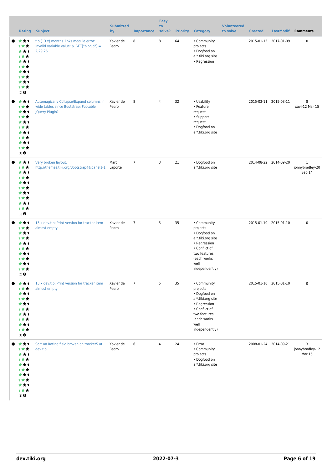| Rating                                                                                                          | <b>Subject</b>                                                                                      | <b>Submitted</b><br>by | <b>Importance</b> | <b>Easy</b><br>to<br>solve? | <b>Priority</b> | <b>Category</b>                                                                                                                                        | <b>Volunteered</b><br>to solve | <b>Created</b>        | <b>LastModif</b>      | <b>Comments</b>                           |
|-----------------------------------------------------------------------------------------------------------------|-----------------------------------------------------------------------------------------------------|------------------------|-------------------|-----------------------------|-----------------|--------------------------------------------------------------------------------------------------------------------------------------------------------|--------------------------------|-----------------------|-----------------------|-------------------------------------------|
| ***<br>计女女<br>***<br><b>1**</b><br>***<br><b>1**</b><br>***<br><b>1**</b><br>***<br><b>1**</b><br>$(0)$ $\odot$ | t.o (13.x) months_links module error:<br>invalid variable value: \$_GET["blogId"] =<br>2,29,26      | Xavier de<br>Pedro     | 8                 | 8                           | 64              | • Community<br>projects<br>• Dogfood on<br>a *.tiki.org site<br>• Regression                                                                           |                                | 2015-01-15 2017-01-09 |                       | 0                                         |
| ***<br>计女女<br>***<br><b>1**</b><br>***<br>计女女<br>***<br><b>1**</b><br>***<br>计女女<br>$(1)$ $\odot$               | Automagically Collapse/Expand columns in<br>wide tables since Bootstrap: Footable<br>jQuery Plugin? | Xavier de<br>Pedro     | 8                 | 4                           | 32              | • Usability<br>• Feature<br>request<br>• Support<br>request<br>• Dogfood on<br>a *.tiki.org site                                                       |                                |                       | 2015-03-11 2015-03-11 | 8<br>xavi-12 Mar 15                       |
| ***<br>计女女<br>***<br>计女女<br>***<br><b>1**</b><br>***<br><b>1**</b><br>***<br>计女女<br>$(0)$ $\odot$               | Very broken layout:                                                                                 | Marc                   | $7\phantom{.0}$   | 3                           | 21              | · Dogfood on<br>a *.tiki.org site                                                                                                                      |                                |                       | 2014-08-22 2014-09-20 | $\mathbf{1}$<br>jonnybradley-20<br>Sep 14 |
| ***<br><b>1**</b><br>***<br>计女女<br>***<br>计女女<br>* * 1<br>1 <del>*</del> *<br>***<br>手套套<br>$(0)$ $\odot$       | 13.x dev.t.o: Print version for tracker item<br>almost empty                                        | Xavier de<br>Pedro     | $\overline{7}$    | 5                           | 35              | • Community<br>projects<br>• Dogfood on<br>a *.tiki.org site<br>• Regression<br>• Conflict of<br>two features<br>(each works<br>well<br>independently) |                                |                       | 2015-01-10 2015-01-10 | $\mathsf 0$                               |
| ***<br>计女女<br>***<br>计女女<br>***<br>计女女<br>***<br>计女女<br>***<br>计女女<br>$(1)$ $\odot$                             | 13.x dev.t.o: Print version for tracker item<br>almost empty                                        | Xavier de<br>Pedro     | $7\phantom{.0}$   | 5                           | 35              | • Community<br>projects<br>· Dogfood on<br>a *.tiki.org site<br>• Regression<br>• Conflict of<br>two features<br>(each works<br>well<br>independently) |                                |                       | 2015-01-10 2015-01-10 | $\mathsf 0$                               |
| ***<br>计女女<br>***<br>计女女<br>***<br>计女女<br>***<br>计女女<br>***<br>计女女<br>$(1)$ $\odot$                             | Sort on Rating field broken on tracker5 at<br>dev.t.o                                               | Xavier de<br>Pedro     | 6                 | 4                           | 24              | • Error<br>• Community<br>projects<br>· Dogfood on<br>a *.tiki.org site                                                                                |                                |                       | 2008-01-24 2014-09-21 | 3<br>jonnybradley-12<br>Mar 15            |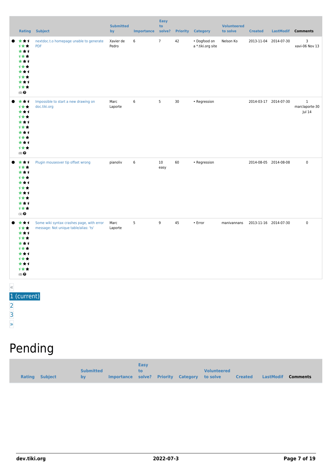|       | Rating                                                                                        | <b>Subject</b>                                                                     | <b>Submitted</b><br>by | <b>Importance</b> | <b>Easy</b><br>to<br>solve? | <b>Priority</b> | <b>Category</b>                   | <b>Volunteered</b><br>to solve | <b>Created</b>        | LastModif | <b>Comments</b>                          |
|-------|-----------------------------------------------------------------------------------------------|------------------------------------------------------------------------------------|------------------------|-------------------|-----------------------------|-----------------|-----------------------------------|--------------------------------|-----------------------|-----------|------------------------------------------|
|       | ***<br>1★★<br>***<br>1★★<br>***<br>计女女<br>***<br>计女女<br>***<br>计女女<br>$(0)$ $\odot$           | nextdoc.t.o homepage unable to generate<br><b>PDF</b>                              | Xavier de<br>Pedro     | 6                 | $\overline{7}$              | 42              | · Dogfood on<br>a *.tiki.org site | Nelson Ko                      | 2013-11-04 2014-07-30 |           | 3<br>xavi-06 Nov 13                      |
|       | ***<br>计女女<br>***<br>计女女<br>***<br>1★★<br>***<br>计女女<br>***<br>计女女<br>$(0)$ $\odot$           | Impossible to start a new drawing on<br>doc.tiki.org                               | Marc<br>Laporte        | 6                 | 5                           | 30              | • Regression                      |                                | 2014-03-17 2014-07-30 |           | $\mathbf{1}$<br>marclaporte-30<br>Jul 14 |
|       | ***<br>计女女<br>***<br>1★★<br>***<br>1**<br>***<br>1★★<br>***<br>计女女<br>$(1)$<br>$\pmb{\Theta}$ | Plugin mouseover tip offset wrong                                                  | pianoliv               | 6                 | 10 <sup>°</sup><br>easy     | 60              | • Regression                      |                                | 2014-08-05 2014-08-08 |           | $\mathsf 0$                              |
|       | ***<br>计女女<br>***<br>1★★<br>***<br>1**<br>***<br>1★★<br>***<br>计女女<br>$(0)$ $\odot$           | Some wiki syntax crashes page, with error<br>message: Not unique table/alias: 'ts' | Marc<br>Laporte        | 5                 | 9                           | 45              | $\cdot$ Error                     | manivannans                    | 2013-11-16 2014-07-30 |           | $\mathsf 0$                              |
| $\ll$ | 1 (current)                                                                                   |                                                                                    |                        |                   |                             |                 |                                   |                                |                       |           |                                          |

- [2](https://dev.tiki.org/tiki-print.php?tr_sort_mode1=f_41_desc&page=Tiki13&tr_offset1=20) [3](https://dev.tiki.org/tiki-print.php?tr_sort_mode1=f_41_desc&page=Tiki13&tr_offset1=40)
- [»](https://dev.tiki.org/tiki-print.php?tr_sort_mode1=f_41_desc&page=Tiki13&tr_offset1=20)

# Pending

|                |                  |                                              | <b>Easy</b> |  |                    |                |           |                 |
|----------------|------------------|----------------------------------------------|-------------|--|--------------------|----------------|-----------|-----------------|
|                | <b>Submitted</b> |                                              | to.         |  | <b>Volunteered</b> |                |           |                 |
| Rating Subject | by               | Importance solve? Priority Category to solve |             |  |                    | <b>Created</b> | LastModif | <b>Comments</b> |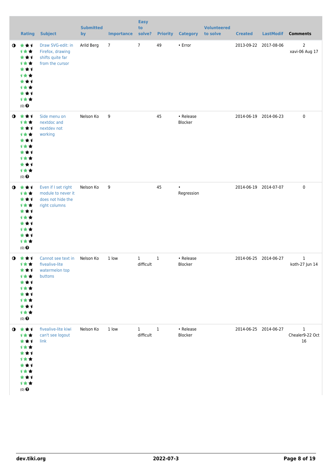|           | Rating                                                                                                                    | <b>Subject</b>                                                                  | <b>Submitted</b><br>by | <b>Importance</b> | <b>Easy</b><br>to<br>solve? |              | <b>Priority Category</b> | <b>Volunteered</b><br>to solve | <b>Created</b> | <b>LastModif</b>      | <b>Comments</b>                       |
|-----------|---------------------------------------------------------------------------------------------------------------------------|---------------------------------------------------------------------------------|------------------------|-------------------|-----------------------------|--------------|--------------------------|--------------------------------|----------------|-----------------------|---------------------------------------|
| $\bullet$ | ***<br>计女女<br>***<br>计女女<br>***<br>计女女<br>★★1<br><b>1**</b><br>***<br>计女女<br>$(0)$ $\odot$                                | Draw SVG-edit: in<br>Firefox, drawing<br>shifts quite far<br>from the cursor    | Arild Berg             | $\overline{7}$    | $7\overline{ }$             | 49           | • Error                  |                                |                | 2013-09-22 2017-08-06 | $\mathsf{2}\,$<br>xavi-06 Aug 17      |
| $\bullet$ | 大女子<br>计女女<br>★★1<br>计女女<br>***<br>1★★<br>★★1<br>计女女<br>***<br>计女女<br>$(0)$<br>$\pmb{\Theta}$                             | Side menu on<br>nextdoc and<br>nextdev not<br>working                           | Nelson Ko              | 9                 |                             | 45           | • Release<br>Blocker     |                                |                | 2014-06-19 2014-06-23 | $\pmb{0}$                             |
| $\bullet$ | 大女子<br>计女女<br>***<br>计女女<br>***<br>1★★<br>***<br>1★★<br>***<br>计女女<br>$(0)$ $\odot$                                       | Even if I set right<br>module to never it<br>does not hide the<br>right columns | Nelson Ko              | 9                 |                             | 45           | $\bullet$<br>Regression  |                                |                | 2014-06-19 2014-07-07 | $\pmb{0}$                             |
| $\bullet$ | ***<br>计女女<br>***<br>1★★<br>***<br>1 <del>*</del> *<br>***<br>计女女<br>***<br>计女女<br>$(0)$ $\odot$                          | Cannot see text in<br>fivealive-lite<br>watermelon top<br>buttons               | Nelson Ko              | 1 low             | $\mathbf{1}$<br>difficult   | $\mathbf{1}$ | • Release<br>Blocker     |                                |                | 2014-06-25 2014-06-27 | $\mathbf{1}$<br>koth-27 Jun 14        |
|           | $0$ $\star\star\star$<br>计女女<br>★★1<br>计女女<br>★★1<br><b>1**</b><br>***<br>1 <del>*</del> *<br>★★1<br>计女女<br>$(0)$ $\odot$ | fivealive-lite kiwi<br>can't see logout<br>link                                 | Nelson Ko              | 1 low             | $\mathbf{1}$<br>difficult   | $\mathbf{1}$ | • Release<br>Blocker     |                                |                | 2014-06-25 2014-06-27 | $\mathbf{1}$<br>Chealer9-22 Oct<br>16 |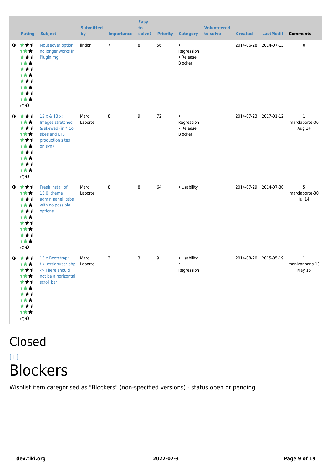| <b>Rating</b>                                                                                                                        | <b>Subject</b>                                                                                         | <b>Submitted</b><br>by | <b>Importance</b> | <b>Easy</b><br>to<br>solve? |    | <b>Priority Category</b>                        | <b>Volunteered</b><br>to solve | <b>Created</b> | <b>LastModif</b>      | <b>Comments</b>                                 |
|--------------------------------------------------------------------------------------------------------------------------------------|--------------------------------------------------------------------------------------------------------|------------------------|-------------------|-----------------------------|----|-------------------------------------------------|--------------------------------|----------------|-----------------------|-------------------------------------------------|
| 大女子<br>$\bullet$<br>1★★<br>***<br>计女女<br>***<br><b>1**</b><br>***<br><b>1**</b><br>***<br>计女女<br>$(0)$ <sup><math>\odot</math></sup> | Mouseover option<br>no longer works in<br>PluginImg                                                    | lindon                 | $\overline{7}$    | 8                           | 56 | $\bullet$<br>Regression<br>• Release<br>Blocker |                                | 2014-06-28     | 2014-07-13            | 0                                               |
| 大大士<br>$\bullet$<br>计女女<br>***<br>计女女<br>***<br><b>1**</b><br>***<br><b>1**</b><br>***<br>计女女<br>$(0)$ <sup><math>\odot</math></sup> | 12.x & 13.x:<br>Images stretched<br>& skewed (in *.t.o<br>sites and LTS<br>production sites<br>on svn) | Marc<br>Laporte        | 8                 | 9                           | 72 | $\bullet$<br>Regression<br>• Release<br>Blocker |                                |                | 2014-07-23 2017-01-12 | $\mathbf{1}$<br>marclaporte-06<br>Aug 14        |
| 大女子<br>$\bullet$<br>1★★<br>***<br>计女女<br>***<br>计女女<br>***<br><b>1**</b><br>***<br>计女女<br>$(0)$ <sup><math>\odot</math></sup>        | Fresh install of<br>13.0: theme<br>admin panel: tabs<br>with no possible<br>options                    | Marc<br>Laporte        | 8                 | 8                           | 64 | • Usability                                     |                                |                | 2014-07-29 2014-07-30 | 5<br>marclaporte-30<br>Jul 14                   |
| ***<br>$\bullet$<br>计女女<br>***<br>计女女<br>★★1<br>计女女<br>★★1<br>计女女<br>***<br>计女女<br>$(0)$ $\odot$                                     | 13.x Bootstrap:<br>tiki-assignuser.php<br>-> There should<br>not be a horizontal<br>scroll bar         | Marc<br>Laporte        | 3                 | 3                           | 9  | • Usability<br>$\bullet$<br>Regression          |                                |                | 2014-08-20 2015-05-19 | $\mathbf{1}$<br>manivannans-19<br><b>May 15</b> |

### Closed  $[+]$ **Blockers**

Wishlist item categorised as "Blockers" (non-specified versions) - status open or pending.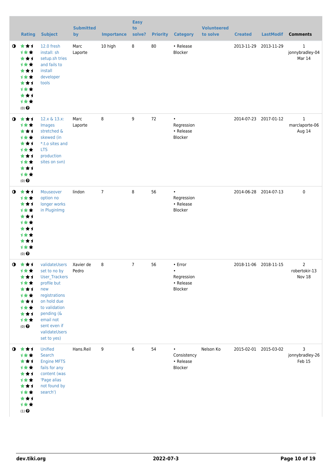|           | <b>Rating</b>                                                                                                    | <b>Subject</b>                                                                                                                                                                                   | <b>Submitted</b><br>by | <b>Importance</b> | <b>Easy</b><br>to<br>solve? | <b>Priority</b> | <b>Category</b>                                            | <b>Volunteered</b><br>to solve | <b>Created</b>        | <b>LastModif</b>      | <b>Comments</b>                           |
|-----------|------------------------------------------------------------------------------------------------------------------|--------------------------------------------------------------------------------------------------------------------------------------------------------------------------------------------------|------------------------|-------------------|-----------------------------|-----------------|------------------------------------------------------------|--------------------------------|-----------------------|-----------------------|-------------------------------------------|
| $\bullet$ | ***<br>计女女<br>***<br>计女女<br>***<br>计女女<br>***<br>计女女<br>***<br>计女女<br>$(0)$ $\odot$                              | 12.0 fresh<br>install: sh<br>setup.sh tries<br>and fails to<br>install<br>developer<br>tools                                                                                                     | Marc<br>Laporte        | 10 high           | $\bf 8$                     | 80              | • Release<br>Blocker                                       |                                | 2013-11-29 2013-11-29 |                       | $\mathbf{1}$<br>jonnybradley-04<br>Mar 14 |
| $\bullet$ | 大女子<br>计女女<br>★★1<br>计女女<br>***<br><b>1**</b><br>***<br>计女女<br>***<br>计女女<br>$(0)$ $\odot$                       | 12.x & 13.x:<br>Images<br>stretched &<br>skewed (in<br>*.t.o sites and<br><b>LTS</b><br>production<br>sites on svn)                                                                              | Marc<br>Laporte        | 8                 | 9                           | 72              | $\bullet$<br>Regression<br>• Release<br>Blocker            |                                |                       | 2014-07-23 2017-01-12 | $\mathbf{1}$<br>marclaporte-06<br>Aug 14  |
| $\bullet$ | 女女子<br>计女女<br>***<br>计女女<br>***<br>计女女<br>**1<br><b>1**</b><br>***<br>计女女<br>$(0)$ <sup><math>\odot</math></sup> | Mouseover<br>option no<br>longer works<br>in PluginImg                                                                                                                                           | lindon                 | $\overline{7}$    | 8                           | 56              | $\bullet$<br>Regression<br>• Release<br>Blocker            |                                |                       | 2014-06-28 2014-07-13 | $\mathbf 0$                               |
| $\bullet$ | - 大 大 ゴ<br>计女女<br>★★1<br>计女女<br>***<br>计女女<br>***<br>计女女<br>***<br>计女女<br>$(0)$ $\odot$                          | validateUsers<br>set to no by<br>User_Trackers<br>profile but<br>new<br>registrations<br>on hold due<br>to validation<br>pending (&<br>email not<br>sent even if<br>validateUsers<br>set to yes) | Xavier de<br>Pedro     | 8                 | $\overline{7}$              | 56              | • Error<br>$\bullet$<br>Regression<br>• Release<br>Blocker |                                | 2018-11-06 2018-11-15 |                       | $\overline{2}$<br>robertokir-13<br>Nov 18 |
|           | $0$ $\star\star\star$<br>计女女<br>★★1<br>计女女<br>***<br>计女女<br>***<br>计女女<br>***<br>计女女<br>$(1)$<br>$\pmb{\Theta}$  | Unified<br>Search<br><b>Engine MFTS</b><br>fails for any<br>content (was<br>'Page alias<br>not found by<br>search')                                                                              | Hans.Reil              | 9                 | 6                           | 54              | Consistency<br>• Release<br>Blocker                        | Nelson Ko                      |                       | 2015-02-01 2015-03-02 | 3<br>jonnybradley-26<br>Feb 15            |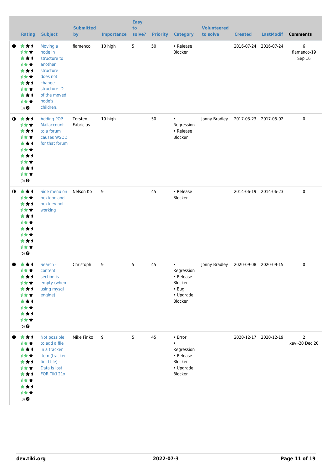|           | <b>Rating</b>                                                                                             | <b>Subject</b>                                                                                                                           | <b>Submitted</b><br>by | <b>Importance</b> | <b>Easy</b><br>to<br>solve? |    | <b>Priority Category</b>                                                               | <b>Volunteered</b><br>to solve | <b>Created</b>        | <b>LastModif</b>      | <b>Comments</b>                  |
|-----------|-----------------------------------------------------------------------------------------------------------|------------------------------------------------------------------------------------------------------------------------------------------|------------------------|-------------------|-----------------------------|----|----------------------------------------------------------------------------------------|--------------------------------|-----------------------|-----------------------|----------------------------------|
|           | ★★1<br>1★★<br>***<br>计女女<br>***<br>计女女<br>***<br>1★★<br>***<br>计女女<br>$(0)$ $\odot$                       | Moving a<br>node in<br>structure to<br>another<br>structure<br>does not<br>change<br>structure ID<br>of the moved<br>node's<br>children. | flamenco               | 10 high           | 5 <sub>1</sub>              | 50 | • Release<br>Blocker                                                                   |                                |                       | 2016-07-24 2016-07-24 | 6<br>flamenco-19<br>Sep 16       |
| $\bullet$ | ***<br>计女女<br>***<br>计女女<br>***<br>计女女<br>***<br>1★★<br>***<br>计女女<br>$(0)$ <sup><math>\odot</math></sup> | <b>Adding POP</b><br>Mailaccount<br>to a forum<br>causes WSOD<br>for that forum                                                          | Torsten<br>Fabricius   | 10 high           |                             | 50 | $\bullet$<br>Regression<br>• Release<br>Blocker                                        | Jonny Bradley                  |                       | 2017-03-23 2017-05-02 | 0                                |
| $\bullet$ | ***<br>计女女<br>***<br>1★★<br>***<br>才女女<br>***<br>计女女<br>***<br>1女女<br>$(0)$ <sup><math>\odot</math></sup> | Side menu on<br>nextdoc and<br>nextdev not<br>working                                                                                    | Nelson Ko              | 9                 |                             | 45 | • Release<br>Blocker                                                                   |                                |                       | 2014-06-19 2014-06-23 | 0                                |
|           | ***<br>1★★<br>**1<br>计女女<br>***<br>计女女<br>**1<br>1★★<br>***<br>计女女<br>$(0)$ $\bigodot$                    | Search -<br>content<br>section is<br>empty (when<br>using mysql<br>engine)                                                               | Christoph              | 9                 | 5                           | 45 | $\bullet$<br>Regression<br>• Release<br>Blocker<br>$\cdot$ Bug<br>• Upgrade<br>Blocker | Jonny Bradley                  | 2020-09-08 2020-09-15 |                       | 0                                |
|           | ***<br>计女女<br>***<br>1★★<br>***<br>1★★<br>***<br>计女女<br>**1<br>计女女<br>$(0)$ $\odot$                       | Not possible<br>to add a file<br>in a tracker<br>item (tracker<br>field file) -<br>Data is lost<br>FOR TIKI 21x                          | Mike Finko             | 9                 | 5 <sub>1</sub>              | 45 | • Error<br>$\bullet$<br>Regression<br>• Release<br>Blocker<br>• Upgrade<br>Blocker     |                                |                       | 2020-12-17 2020-12-19 | $\overline{2}$<br>xavi-20 Dec 20 |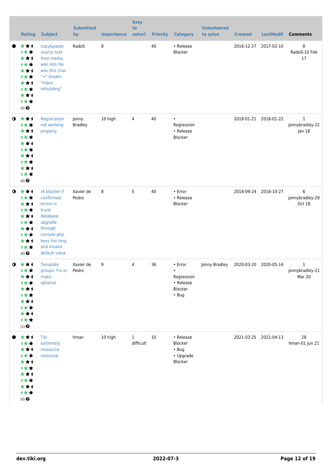|           | <b>Rating</b>                                                                                             | <b>Subject</b>                                                                                                                                      | <b>Submitted</b><br>by  | <b>Importance</b> | <b>Easy</b><br>to<br>solve? | <b>Priority</b> | <b>Category</b>                                                           | <b>Volunteered</b><br>to solve | <b>Created</b> | <b>LastModif</b>      | <b>Comments</b>                |
|-----------|-----------------------------------------------------------------------------------------------------------|-----------------------------------------------------------------------------------------------------------------------------------------------------|-------------------------|-------------------|-----------------------------|-----------------|---------------------------------------------------------------------------|--------------------------------|----------------|-----------------------|--------------------------------|
|           | ★★1<br>计女女<br>***<br>计女女<br>***<br>计女女<br>***<br>计女女<br>***<br>计女女<br>$(0)$ <sup><math>\odot</math></sup> | copy&paste<br>source text<br>from media<br>wiki into tiki<br>wiki this char<br>"→" breaks<br>"index<br>rebuilding"                                  | RadoS                   | 8                 |                             | 40              | • Release<br>Blocker                                                      |                                |                | 2016-12-27 2017-02-10 | 8<br>RadoS-10 Feb<br>17        |
| $\bullet$ | ***<br>1★★<br>***<br>计女女<br>***<br>计女女<br>***<br>计女女<br>***<br>计女女<br>$(0)$ <sup><math>\odot</math></sup> | Registration<br>not working<br>properly                                                                                                             | Jonny<br><b>Bradley</b> | 10 high           | 4                           | 40              | $\bullet$<br>Regression<br>• Release<br>Blocker                           |                                |                | 2018-01-21 2018-01-22 | 1<br>jonnybradley-22<br>Jan 18 |
| $\bullet$ | ***<br>计女女<br>***<br>计女女<br>***<br>计女女<br>***<br>计女女<br>***<br>计女女<br>$(0)$ $\odot$                       | (A blocker if<br>confirmed)<br>errors in<br>trunk<br>database<br>upgrade<br>through<br>console.php<br>keys too long<br>and invalid<br>default value | Xavier de<br>Pedro      | 8                 | 5                           | 40              | • Error<br>• Release<br>Blocker                                           |                                |                | 2018-09-24 2018-10-27 | 6<br>jonnybradley-29<br>Oct 18 |
| $\bullet$ | - 大 大 ゴ<br>计女女<br>★★1<br>计女女<br>***<br>1★★<br>***<br>计女女<br>***<br>计女女<br>$(1)$<br>$\pmb{\Theta}$         | Template<br>groups: Fix or Pedro<br>make<br>optional                                                                                                | Xavier de               | 9                 | 4                           | 36              | • Error<br>$\bullet$<br>Regression<br>• Release<br>Blocker<br>$\cdot$ Bug | Jonny Bradley                  |                | 2020-03-20 2020-05-14 | 1<br>jonnybradley-21<br>Mar 20 |
|           | ***<br>计女女<br>**1<br>才女女<br>**1<br>计女女<br>★★1<br>计女女<br>**1<br>计女女<br>$(0)$ $\odot$                       | Tiki<br>extremely<br>ressource<br>intensive                                                                                                         | hman                    | 10 high           | $\mathbf{1}$<br>difficult   | 10              | • Release<br>Blocker<br>$\cdot$ Bug<br>• Upgrade<br>Blocker               |                                |                | 2021-03-25 2021-04-13 | 28<br>hman-01 Jun 21           |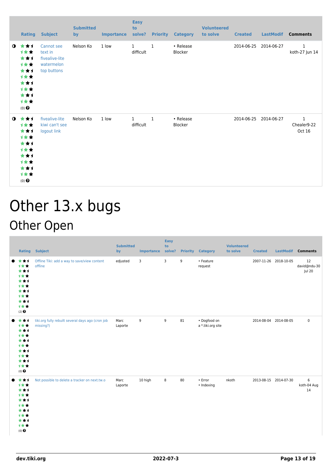|             | Rating                                                                              | <b>Subject</b>                                                       | <b>Submitted</b><br>by | <b>Importance</b> | <b>Easy</b><br>to<br>solve? |              | <b>Priority Category</b>    | <b>Volunteered</b><br>to solve | <b>Created</b> | <b>LastModif</b>      | <b>Comments</b>                |
|-------------|-------------------------------------------------------------------------------------|----------------------------------------------------------------------|------------------------|-------------------|-----------------------------|--------------|-----------------------------|--------------------------------|----------------|-----------------------|--------------------------------|
| $\mathbf o$ | ***<br>1★★<br>***<br>计女女<br>***<br>计女女<br>***<br>计女女<br>***<br>计女女<br>$(0)$ $\odot$ | Cannot see<br>text in<br>fivealive-lite<br>watermelon<br>top buttons | Nelson Ko              | 1 low             | $\mathbf{1}$<br>difficult   | $\mathbf{1}$ | • Release<br><b>Blocker</b> |                                | 2014-06-25     | 2014-06-27            | $\mathbf{1}$<br>koth-27 Jun 14 |
| $\mathbf o$ | ***<br>1★★<br>***<br>计女女<br>***<br>计女女<br>***<br>1★★<br>***<br>计女女<br>$(0)$ $\odot$ | fivealive-lite<br>kiwi can't see<br>logout link                      | Nelson Ko              | 1 low             | $\mathbf{1}$<br>difficult   | $\mathbf{1}$ | • Release<br>Blocker        |                                |                | 2014-06-25 2014-06-27 | $1\,$<br>Chealer9-22<br>Oct 16 |

### Other 13.x bugs Other Open

| <b>Rating</b>                                                                       | <b>Subject</b>                                                 | <b>Submitted</b><br>by | Importance solve? | <b>Easy</b><br>to | <b>Priority</b> | <b>Category</b>                   | <b>Volunteered</b><br>to solve | <b>Created</b>        | <b>LastModif</b> | <b>Comments</b>              |
|-------------------------------------------------------------------------------------|----------------------------------------------------------------|------------------------|-------------------|-------------------|-----------------|-----------------------------------|--------------------------------|-----------------------|------------------|------------------------------|
| ***<br>***<br>***<br>1★★<br>***<br>1**<br>***<br>1★★<br>***<br>计女女<br>$(2)$ $\odot$ | Offline Tiki: add a way to save/view content<br>offline        | edjusted               | 3                 | 3                 | 9               | • Feature<br>request              |                                | 2007-11-26 2018-10-05 |                  | 12<br>david@ndu-30<br>Jul 20 |
| ***<br>计女女<br>***<br>1**<br>***<br>1**<br>***<br>计女女<br>***<br>计女女<br>$(0)$ $\odot$ | tiki.org fully rebuilt several days ago (cron job<br>missing?) | Marc<br>Laporte        | 9                 | 9                 | 81              | · Dogfood on<br>a *.tiki.org site |                                | 2014-08-04 2014-08-05 |                  | $\pmb{0}$                    |
| ***<br>计女女<br>***<br>计女女<br>***<br>1**<br>***<br>计女女<br>***<br>计女女<br>$(0)$ $\odot$ | Not possible to delete a tracker on next.tw.o                  | Marc<br>Laporte        | 10 high           | 8                 | 80              | • Error<br>• Indexing             | nkoth                          | 2013-08-15 2014-07-30 |                  | 6<br>koth-04 Aug<br>14       |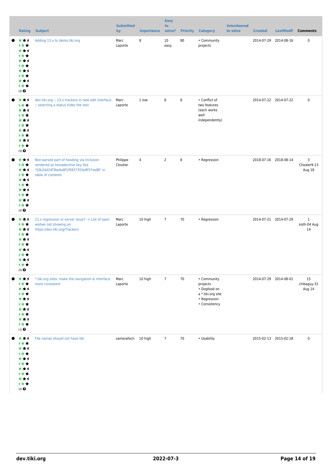|                                                                                                       |                                                                                                                                              | <b>Submitted</b>     |                   | <b>Easy</b><br>to |    |                                                                                               | <b>Volunteered</b> |                       |           |                                   |  |
|-------------------------------------------------------------------------------------------------------|----------------------------------------------------------------------------------------------------------------------------------------------|----------------------|-------------------|-------------------|----|-----------------------------------------------------------------------------------------------|--------------------|-----------------------|-----------|-----------------------------------|--|
| <b>Rating</b>                                                                                         | <b>Subject</b>                                                                                                                               | by                   | <b>Importance</b> | solve?            |    | <b>Priority Category</b>                                                                      | to solve           | <b>Created</b>        | LastModif | <b>Comments</b>                   |  |
| ***<br>计女女<br>***<br>计女女<br>***<br>计女女<br>***<br>计女女<br>***<br>计女女<br>$(0)$ $\odot$                   | Adding 13.x to demo.tiki.org                                                                                                                 | Marc<br>Laporte      | 8                 | 10<br>easy        | 80 | • Community<br>projects                                                                       |                    | 2014-07-29 2014-08-16 |           | $\pmb{0}$                         |  |
| ***<br>计女女<br>***<br>计女女<br>***<br>计女女<br>***<br>计女女<br>***<br>计女女<br>$(0)$ $\odot$                   | dev.tiki.org :: 13.x trackers in new edit interface<br>:: selecting a status hides the text                                                  | Marc<br>Laporte      | 1 low             | 8                 | 8  | • Conflict of<br>two features<br>(each works<br>well<br>independently)                        |                    | 2014-07-22 2014-07-22 |           | $\pmb{0}$                         |  |
| ***<br>计女女<br>***<br>计女女<br>***<br>计女女<br>***<br>计女女<br>***<br>计女女<br>$(0)$ $\odot$                   | Non-parsed part of heading via inclusion<br>rendered as hexadecimal key like<br>"§3b24424f3be6a8f1f0937355e8f37ee8§" in<br>table of contents | Philippe<br>Cloutier | $\sqrt{4}$        | $\overline{2}$    | 8  | • Regression                                                                                  |                    | 2018-07-16 2018-08-14 |           | 3<br>Chealer9-13<br>Aug 18        |  |
| ***<br>计女女<br>***<br>计女女<br>***<br>计女女<br>***<br>计女女<br>***<br>计女女<br>$(0)$ $\bullet$                 | 13.x regression or server issue? -> List of open<br>wishes not showing on<br>https://dev.tiki.org/Trackers                                   | Marc<br>Laporte      | 10 high           | $\overline{7}$    | 70 | • Regression                                                                                  |                    | 2014-07-21 2014-07-29 |           | $\mathbf{1}$<br>koth-04 Aug<br>14 |  |
| ***<br>计女女<br>***<br>计女女<br>***<br>计女女<br>***<br>计女女<br>***<br>计女女<br>$\left(1\right)$ $\pmb{\Theta}$ | *.tiki.org sites: make the navigation & interface<br>more consistent                                                                         | Marc<br>Laporte      | 10 high           | $\overline{7}$    | 70 | • Community<br>projects<br>• Dogfood on<br>a *.tiki.org site<br>• Regression<br>• Consistency |                    | 2014-07-29 2014-08-01 |           | 15<br>chibaguy-31<br>Aug 14       |  |
| ***<br>计女女<br>***<br>计女女<br>***<br>1 * *<br>***<br>计女女<br>***<br>计女女<br>$(0)$ $\odot$                 | File names should not have tiki                                                                                                              | samerafach 10 high   |                   | $\overline{7}$    | 70 | • Usability                                                                                   |                    | 2015-02-13 2015-02-18 |           | $\pmb{0}$                         |  |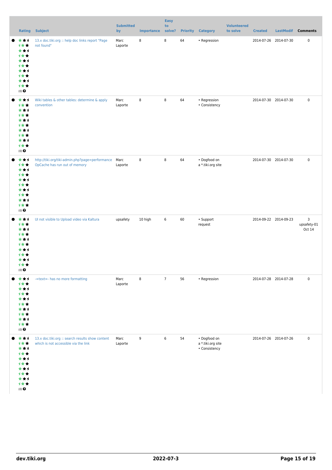|                                                                                                | <b>Rating Subject</b>                                                                    | <b>Submitted</b><br>by | <b>Importance</b> | <b>Easy</b><br>to<br>solve? |    | <b>Priority Category</b>                                   | <b>Volunteered</b><br>to solve | <b>Created</b>        | LastModif Comments         |
|------------------------------------------------------------------------------------------------|------------------------------------------------------------------------------------------|------------------------|-------------------|-----------------------------|----|------------------------------------------------------------|--------------------------------|-----------------------|----------------------------|
| ★↑<br>★<br>计女女<br>***<br>计女女<br>***<br>计女女<br>***<br>计女女<br>***<br>计女女<br>$(0)$ $\pmb{\Theta}$ | 13.x doc.tiki.org :: help doc links report "Page<br>not found"                           | Marc<br>Laporte        | 8                 | 8                           | 64 | • Regression                                               |                                | 2014-07-26 2014-07-30 | $\pmb{0}$                  |
| ***<br>计女女<br>***<br>计女女<br>***<br>计女女<br>***<br>计女女<br>***<br>计女女<br>$(0)$ $\pmb{\Theta}$     | Wiki tables & other tables: determine & apply<br>convention                              | Marc<br>Laporte        | 8                 | 8                           | 64 | • Regression<br>• Consistency                              |                                | 2014-07-30 2014-07-30 | $\pmb{0}$                  |
| ***<br>计女女<br>***<br>计女女<br>***<br>计女女<br>***<br>计女女<br>***<br>计女女<br>$(0)$ $\pmb{\Theta}$     | http://tiki.org/tiki-admin.php?page=performance<br>OpCache has run out of memory         | Marc<br>Laporte        | 8                 | $\,8\,$                     | 64 | • Dogfood on<br>a *.tiki.org site                          |                                | 2014-07-30 2014-07-30 | $\pmb{0}$                  |
| ***<br>计女女<br>***<br>计女女<br>***<br>计女女<br>***<br>计女女<br>***<br>计女女<br>$(0)$ $\odot$            | Ul not visible to Upload video via Kaltura                                               | upsafety               | 10 high           | $\,6\,$                     | 60 | • Support<br>request                                       |                                | 2014-09-22 2014-09-23 | 3<br>upsafety-01<br>Oct 14 |
| ***<br>计女女<br>***<br>计女女<br>***<br>计女女<br>***<br>计女女<br>***<br>计女女<br>$(0)$<br>$\pmb{\Theta}$  | -=text=- has no more formatting                                                          | Marc<br>Laporte        | 8                 | $\overline{7}$              | 56 | • Regression                                               |                                | 2014-07-28 2014-07-28 | $\pmb{0}$                  |
| ***<br>计女女<br>***<br>计女女<br>***<br>计女女<br>***<br>计女女<br>***<br>计女女<br>$(0)$ $\pmb{\Theta}$     | 13.x doc.tiki.org :: search results show content<br>which is not accessible via the link | Marc<br>Laporte        | 9                 | 6                           | 54 | $\bullet$ Dogfood on<br>a *.tiki.org site<br>• Consistency |                                | 2014-07-26 2014-07-26 | $\pmb{0}$                  |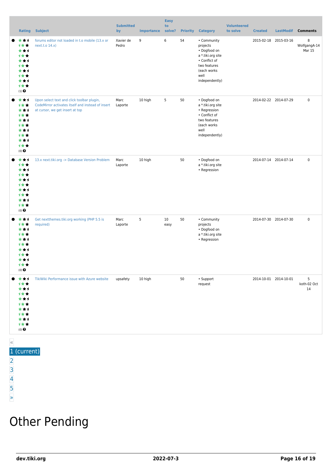|       | Rating                                                                                                | <b>Subject</b>                                                                                                                     | <b>Submitted</b><br>by | <b>Importance</b> | <b>Easy</b><br>to<br>solve? | <b>Priority</b> | <b>Category</b>                                                                                                                        | <b>Volunteered</b><br>to solve | <b>Created</b>        | <b>LastModif</b>      | <b>Comments</b>             |
|-------|-------------------------------------------------------------------------------------------------------|------------------------------------------------------------------------------------------------------------------------------------|------------------------|-------------------|-----------------------------|-----------------|----------------------------------------------------------------------------------------------------------------------------------------|--------------------------------|-----------------------|-----------------------|-----------------------------|
|       | ***<br>计女女<br>***<br>计女女<br>***<br>计女女<br>***<br>计女女<br>***<br>计女女<br>$\left(1\right)$ $\pmb{\Theta}$ | forums editor not loaded in t.o mobile (13.x or<br>next.t.o 14.x)                                                                  | Xavier de<br>Pedro     | 9                 | 6                           | 54              | • Community<br>projects<br>• Dogfood on<br>a *.tiki.org site<br>• Conflict of<br>two features<br>(each works<br>well<br>independently) |                                |                       | 2015-02-18 2015-03-16 | 8<br>WolfgangA-14<br>Mar 15 |
|       | ***<br>计女女<br>***<br>计女女<br>***<br>计女女<br>***<br>计女女<br>***<br>计女女<br>$(0)$ $\odot$                   | Upon select text and click toolbar plugin,<br>CodeMirror activates itself and instead of insert<br>at cursor, we get insert at top | Marc<br>Laporte        | 10 high           | 5                           | 50              | • Dogfood on<br>a *.tiki.org site<br>• Regression<br>• Conflict of<br>two features<br>(each works<br>well<br>independently)            |                                | 2014-02-22 2014-07-29 |                       | $\pmb{0}$                   |
|       | ***<br>计女女<br>***<br>计女女<br>***<br>***<br>***<br>计女女<br>***<br>计女女<br>$(0)$ $\odot$                   | 13.x next.tiki.org -> Database Version Problem                                                                                     | Marc<br>Laporte        | 10 high           |                             | 50              | • Dogfood on<br>a *.tiki.org site<br>• Regression                                                                                      |                                | 2014-07-14 2014-07-14 |                       | $\pmb{0}$                   |
|       | ***<br>计女女<br>***<br>计女女<br>***<br>计女女<br>***<br>计女女<br>***<br>计女女<br>$(0)$ $\odot$                   | Get nextthemes.tiki.org working (PHP 5.5 is<br>required)                                                                           | Marc<br>Laporte        | 5                 | 10<br>easy                  | 50              | • Community<br>projects<br>• Dogfood on<br>a *.tiki.org site<br>• Regression                                                           |                                | 2014-07-30 2014-07-30 |                       | $\pmb{0}$                   |
|       | *1<br>1 * *<br>*1<br>1 * *<br>★↑<br>1 * *<br>*1<br>1 * *<br>★★1<br>计女女<br>$(0)$ $\odot$               | TikiWiki Performance issue with Azure website                                                                                      | upsafety               | 10 high           |                             | 50              | • Support<br>request                                                                                                                   |                                | 2014-10-01 2014-10-01 |                       | 5<br>koth-02 Oct<br>14      |
| $\ll$ |                                                                                                       |                                                                                                                                    |                        |                   |                             |                 |                                                                                                                                        |                                |                       |                       |                             |

#### 1 (current)

- [2](https://dev.tiki.org/tiki-print.php?tr_sort_mode1=f_41_desc&page=Tiki13&tr_sort_mode2=f_48_asc&tr_offset5=20)
- [3](https://dev.tiki.org/tiki-print.php?tr_sort_mode1=f_41_desc&page=Tiki13&tr_sort_mode2=f_48_asc&tr_offset5=40)
- [4](https://dev.tiki.org/tiki-print.php?tr_sort_mode1=f_41_desc&page=Tiki13&tr_sort_mode2=f_48_asc&tr_offset5=60)
- [5](https://dev.tiki.org/tiki-print.php?tr_sort_mode1=f_41_desc&page=Tiki13&tr_sort_mode2=f_48_asc&tr_offset5=80)

#### [»](https://dev.tiki.org/tiki-print.php?tr_sort_mode1=f_41_desc&page=Tiki13&tr_sort_mode2=f_48_asc&tr_offset5=20)

### Other Pending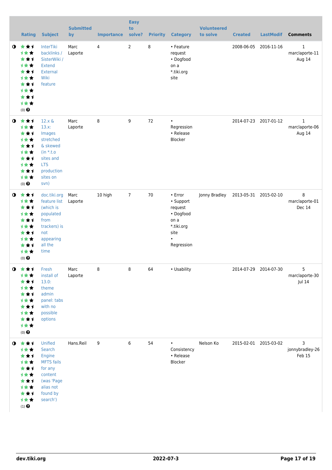|             | <b>Rating</b>                                                                                                           | <b>Subject</b>                                                                                                                        | <b>Submitted</b><br>by | <b>Importance</b> | <b>Easy</b><br>to<br>solve? | <b>Priority</b> | <b>Category</b>                                                                                       | <b>Volunteered</b><br>to solve | <b>Created</b> | <b>LastModif</b>      | <b>Comments</b>                          |
|-------------|-------------------------------------------------------------------------------------------------------------------------|---------------------------------------------------------------------------------------------------------------------------------------|------------------------|-------------------|-----------------------------|-----------------|-------------------------------------------------------------------------------------------------------|--------------------------------|----------------|-----------------------|------------------------------------------|
| $\bullet$   | 大大士<br><b>1**</b><br>***<br>才女女<br>***<br><b>1**</b><br>***<br>计女女<br>***<br>计女女<br>$(0)$ <sup><math>\odot</math></sup> | <b>InterTiki</b><br>backlinks /<br>SisterWiki /<br><b>Extend</b><br>External<br>Wiki<br>feature                                       | Marc<br>Laporte        | 4                 | $\overline{2}$              | 8               | • Feature<br>request<br>• Dogfood<br>on a<br>*.tiki.org<br>site                                       |                                | 2008-06-05     | 2016-11-16            | $\mathbf{1}$<br>marclaporte-11<br>Aug 14 |
| $\bullet$   | ***<br>计女女<br>***<br>计女女<br>***<br>计女女<br>★★1<br>计女女<br>***<br>计女女<br>$(0)$ $\odot$                                     | $12.x \&$<br>$13.x$ :<br>Images<br>stretched<br>& skewed<br>$(in * t.o)$<br>sites and<br><b>LTS</b><br>production<br>sites on<br>svn) | Marc<br>Laporte        | 8                 | 9                           | 72              | $\bullet$<br>Regression<br>• Release<br>Blocker                                                       |                                |                | 2014-07-23 2017-01-12 | $\mathbf{1}$<br>marclaporte-06<br>Aug 14 |
| $\mathbf o$ | 大女子<br>才女女<br>***<br>才女女<br>***<br>计女女<br>***<br>计女女<br>***<br>计女女<br>$(0)$ <sup><math>\odot</math></sup>               | doc.tiki.org<br>feature list<br>(which is<br>populated<br>from<br>trackers) is<br>not<br>appearing<br>all the<br>time                 | Marc<br>Laporte        | 10 high           | $7\overline{ }$             | 70              | • Error<br>• Support<br>request<br>• Dogfood<br>on a<br>*.tiki.org<br>site<br>$\bullet$<br>Regression | Jonny Bradley                  |                | 2013-05-31 2015-02-10 | 8<br>marclaporte-01<br>Dec 14            |
| $\mathbf 0$ | 女女士<br>计女女<br>***<br>计女女<br>***<br>才女女<br>***<br>才女女<br>★★1<br>计女女<br>$(0)$ $\pmb{\Theta}$                              | Fresh<br>install of<br>13.0:<br>theme<br>admin<br>panel: tabs<br>with no<br>possible<br>options                                       | Marc<br>Laporte        | 8                 | 8                           | 64              | • Usability                                                                                           |                                |                | 2014-07-29 2014-07-30 | 5<br>marclaporte-30<br>Jul 14            |
| $\bullet$   | 大大士<br>计女女<br>***<br>计女女<br>***<br>计女女<br>***<br>才女女<br>***<br>计女女<br>$\left(1\right)$ $\pmb{\Theta}$                   | Unified<br>Search<br>Engine<br><b>MFTS</b> fails<br>for any<br>content<br>(was 'Page<br>alias not<br>found by<br>search')             | Hans.Reil              | 9                 | 6                           | 54              | $\bullet$<br>Consistency<br>• Release<br>Blocker                                                      | Nelson Ko                      |                | 2015-02-01 2015-03-02 | 3<br>jonnybradley-26<br>Feb 15           |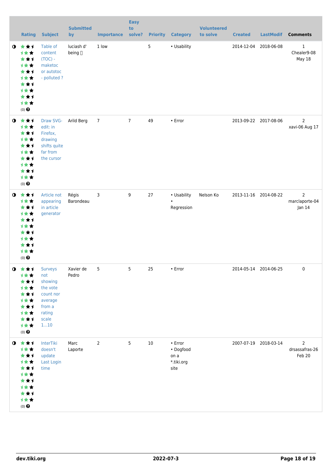|           | <b>Rating</b>                                                                                                   | <b>Subject</b>                                                                                           | <b>Submitted</b><br>by | <b>Importance</b> | <b>Easy</b><br>to<br>solve? |    | <b>Priority Category</b>                           | <b>Volunteered</b><br>to solve | <b>Created</b> | <b>LastModif</b>      | <b>Comments</b>                            |
|-----------|-----------------------------------------------------------------------------------------------------------------|----------------------------------------------------------------------------------------------------------|------------------------|-------------------|-----------------------------|----|----------------------------------------------------|--------------------------------|----------------|-----------------------|--------------------------------------------|
| $\bullet$ | 大女子<br>计女女<br>***<br>计女女<br>***<br>计女女<br>***<br>计女女<br>***<br>计女女<br>$(0)$<br>$\pmb{\Theta}$                   | Table of<br>content<br>$(TOC) -$<br>maketoc<br>or autotoc<br>- polluted?                                 | luciash d'<br>being [] | 1 low             |                             | 5  | • Usability                                        |                                |                | 2014-12-04 2018-06-08 | $1\,$<br>Chealer9-08<br>May 18             |
| $\bullet$ | 大女子<br>计女女<br>***<br>计女女<br>***<br>计女女<br>***<br>计女女<br>***<br>计女女<br>$(0)$<br>$\pmb{\Theta}$                   | Draw SVG-<br>edit: in<br>Firefox,<br>drawing<br>shifts quite<br>far from<br>the cursor                   | Arild Berg             | $\overline{7}$    | $7\overline{ }$             | 49 | • Error                                            |                                |                | 2013-09-22 2017-08-06 | $\overline{2}$<br>xavi-06 Aug 17           |
| $\bullet$ | 大女子<br>计女女<br>***<br>计女女<br>***<br>计女女<br>★★1<br>计女女<br>***<br><b>1**</b><br>$(0)$ $\odot$                      | Article not<br>appearing<br>in article<br>generator                                                      | Régis<br>Barondeau     | 3                 | 9                           | 27 | • Usability<br>$\bullet$<br>Regression             | Nelson Ko                      |                | 2013-11-16 2014-08-22 | $\overline{2}$<br>marclaporte-04<br>Jan 14 |
|           | $0$ $*$ $*$ $*$<br>计女女<br>***<br>计女女<br>***<br>计女女<br>***<br>计女女<br>***<br>计女女<br>$(0)$ $\odot$                 | <b>Surveys</b><br>not<br>showing<br>the vote<br>count nor<br>average<br>from a<br>rating<br>scale<br>110 | Xavier de<br>Pedro     | 5                 | 5                           | 25 | $\cdot$ Error                                      |                                |                | 2014-05-14 2014-06-25 | 0                                          |
|           | $0$ $\star\star\star$<br>计女女<br>***<br>计女女<br>***<br>计女女<br>***<br>计女女<br>***<br>1★★<br>$(0)$<br>$\pmb{\Theta}$ | InterTiki<br>doesn't<br>update<br>Last Login<br>time                                                     | Marc<br>Laporte        | $\overline{2}$    | 5                           | 10 | • Error<br>• Dogfood<br>on a<br>*.tiki.org<br>site |                                |                | 2007-07-19 2018-03-14 | 2<br>drsassafras-26<br>Feb 20              |